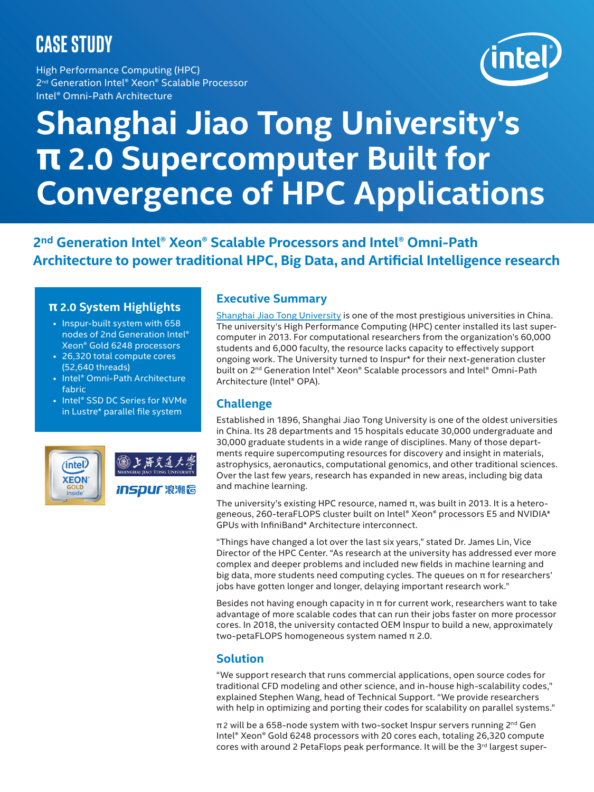# **CASE STUDY**

High Performance Computing (HPC) 2<sup>nd</sup> Generation Intel® Xeon® Scalable Processor Intel® Omni-Path Architecture



# **Shanghai Jiao Tong University's π 2.0 Supercomputer Built for Convergence of HPC Applications**

**2nd Generation Intel® Xeon® Scalable Processors and Intel® Omni-Path Architecture to power traditional HPC, Big Data, and Artificial Intelligence research**

#### **π 2.0 System Highlights**

- Inspur-built system with 658 nodes of 2nd Generation Intel® Xeon® Gold 6248 processors
- 26,320 total compute cores (52,640 threads)
- Intel® Omni-Path Architecture fabric
- Intel® SSD DC Series for NVMe in Lustre\* parallel file system



### **Executive Summary**

[Shanghai Jiao Tong University](http://en.sjtu.edu.cn/) is one of the most prestigious universities in China. The university's High Performance Computing (HPC) center installed its last supercomputer in 2013. For computational researchers from the organization's 60,000 students and 6,000 faculty, the resource lacks capacity to effectively support ongoing work. The University turned to Inspur\* for their next-generation cluster built on 2<sup>nd</sup> Generation Intel® Xeon® Scalable processors and Intel® Omni-Path Architecture (Intel® OPA).

## **Challenge**

Established in 1896, Shanghai Jiao Tong University is one of the oldest universities in China. Its 28 departments and 15 hospitals educate 30,000 undergraduate and 30,000 graduate students in a wide range of disciplines. Many of those departments require supercomputing resources for discovery and insight in materials, astrophysics, aeronautics, computational genomics, and other traditional sciences. Over the last few years, research has expanded in new areas, including big data and machine learning.

The university's existing HPC resource, named π, was built in 2013. It is a heterogeneous, 260-teraFLOPS cluster built on Intel® Xeon® processors E5 and NVIDIA\* GPUs with InfiniBand\* Architecture interconnect.

"Things have changed a lot over the last six years," stated Dr. James Lin, Vice Director of the HPC Center. "As research at the university has addressed ever more complex and deeper problems and included new fields in machine learning and big data, more students need computing cycles. The queues on  $\pi$  for researchers' jobs have gotten longer and longer, delaying important research work."

Besides not having enough capacity in  $\pi$  for current work, researchers want to take advantage of more scalable codes that can run their jobs faster on more processor cores. In 2018, the university contacted OEM Inspur to build a new, approximately two-petaFLOPS homogeneous system named π 2.0.

### **Solution**

"We support research that runs commercial applications, open source codes for traditional CFD modeling and other science, and in-house high-scalability codes," explained Stephen Wang, head of Technical Support. "We provide researchers with help in optimizing and porting their codes for scalability on parallel systems."

π 2 will be a 658-node system with two-socket Inspur servers running 2nd Gen Intel® Xeon® Gold 6248 processors with 20 cores each, totaling 26,320 compute cores with around 2 PetaFlops peak performance. It will be the  $3<sup>rd</sup>$  largest super-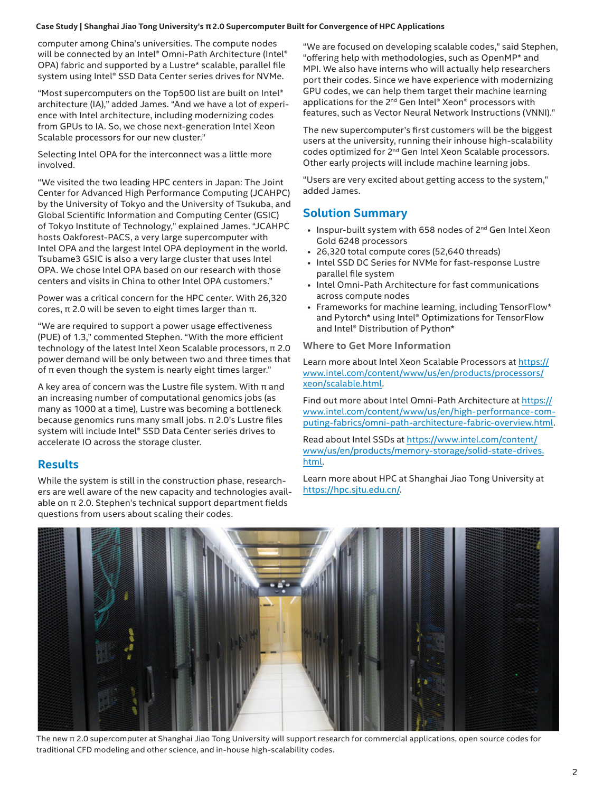#### **Case Study | Shanghai Jiao Tong University's π2.0 Supercomputer Built for Convergence of HPC Applications**

computer among China's universities. The compute nodes will be connected by an Intel® Omni-Path Architecture (Intel® OPA) fabric and supported by a Lustre\* scalable, parallel file system using Intel® SSD Data Center series drives for NVMe.

"Most supercomputers on the Top500 list are built on Intel® architecture (IA)," added James. "And we have a lot of experience with Intel architecture, including modernizing codes from GPUs to IA. So, we chose next-generation Intel Xeon Scalable processors for our new cluster."

Selecting Intel OPA for the interconnect was a little more involved.

"We visited the two leading HPC centers in Japan: The Joint Center for Advanced High Performance Computing (JCAHPC) by the University of Tokyo and the University of Tsukuba, and Global Scientific Information and Computing Center (GSIC) of Tokyo Institute of Technology," explained James. "JCAHPC hosts Oakforest-PACS, a very large supercomputer with Intel OPA and the largest Intel OPA deployment in the world. Tsubame3 GSIC is also a very large cluster that uses Intel OPA. We chose Intel OPA based on our research with those centers and visits in China to other Intel OPA customers."

Power was a critical concern for the HPC center. With 26,320 cores, π 2.0 will be seven to eight times larger than π.

"We are required to support a power usage effectiveness (PUE) of 1.3," commented Stephen. "With the more efficient technology of the latest Intel Xeon Scalable processors, π 2.0 power demand will be only between two and three times that of  $π$  even though the system is nearly eight times larger."

A key area of concern was the Lustre file system. With  $\pi$  and an increasing number of computational genomics jobs (as many as 1000 at a time), Lustre was becoming a bottleneck because genomics runs many small jobs. π 2.0's Lustre files system will include Intel® SSD Data Center series drives to accelerate IO across the storage cluster.

#### **Results**

While the system is still in the construction phase, researchers are well aware of the new capacity and technologies available on π 2.0. Stephen's technical support department fields questions from users about scaling their codes.

"We are focused on developing scalable codes," said Stephen, "offering help with methodologies, such as OpenMP\* and MPI. We also have interns who will actually help researchers port their codes. Since we have experience with modernizing GPU codes, we can help them target their machine learning applications for the 2<sup>nd</sup> Gen Intel® Xeon® processors with features, such as Vector Neural Network Instructions (VNNI)."

The new supercomputer's first customers will be the biggest users at the university, running their inhouse high-scalability codes optimized for 2<sup>nd</sup> Gen Intel Xeon Scalable processors. Other early projects will include machine learning jobs.

"Users are very excited about getting access to the system," added James.

### **Solution Summary**

- Inspur-built system with 658 nodes of 2<sup>nd</sup> Gen Intel Xeon Gold 6248 processors
- 26,320 total compute cores (52,640 threads)
- Intel SSD DC Series for NVMe for fast-response Lustre parallel file system
- Intel Omni-Path Architecture for fast communications across compute nodes
- Frameworks for machine learning, including TensorFlow\* and Pytorch\* using Intel® Optimizations for TensorFlow and Intel® Distribution of Python\*

#### **Where to Get More Information**

Learn more about Intel Xeon Scalable Processors at https:// www.intel.com/content/www/us/en/products/processors/ xeon/scalable.html[.](https://www.intel.com/content/www/us/en/products/processors/xeon/scalable.html)

Find out more about Intel Omni-Path Architecture at [https://](https://www.intel.com/content/www/us/en/high-performance-computing-fabrics/omni-path-architecture-fabric-overview.html) [www.intel.com/content/www/us/en/high-performance-com](https://www.intel.com/content/www/us/en/high-performance-computing-fabrics/omni-path-architecture-fabric-overview.html)[puting-fabrics/omni-path-architecture-fabric-overview.html](https://www.intel.com/content/www/us/en/high-performance-computing-fabrics/omni-path-architecture-fabric-overview.html).

Read about Intel SSDs at [https://www.intel.com/content/](https://www.intel.com/content/www/us/en/products/memory-storage/solid-state-drives.html
) [www/us/en/products/memory-storage/solid-state-drives.](https://www.intel.com/content/www/us/en/products/memory-storage/solid-state-drives.html
) [html.](https://www.intel.com/content/www/us/en/products/memory-storage/solid-state-drives.html
)

Learn more about HPC at Shanghai Jiao Tong University at [https://hpc.sjtu.edu.cn/.](https://hpc.sjtu.edu.cn/)



The new π 2.0 supercomputer at Shanghai Jiao Tong University will support research for commercial applications, open source codes for traditional CFD modeling and other science, and in-house high-scalability codes.